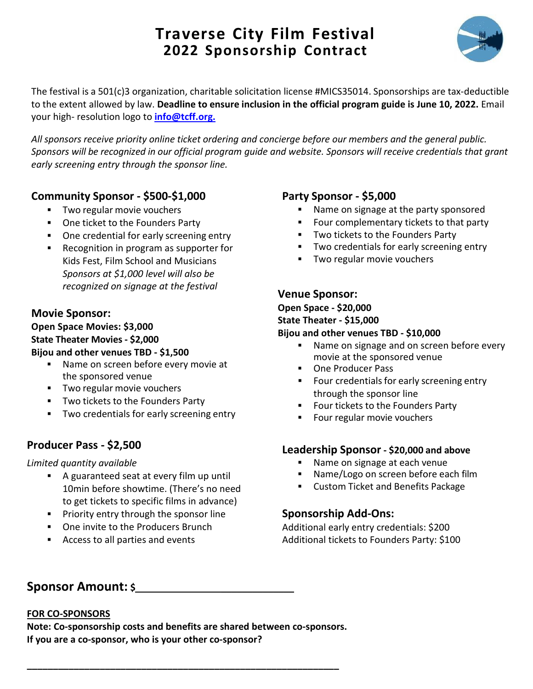# **Traverse City Film Festival 2022 Sponsorship Contract**



The festival is a 501(c)3 organization, charitable solicitation license #MICS35014. Sponsorships are tax-deductible to the extent allowed by law. **Deadline to ensure inclusion in the official program guide is June 10, 2022.** Email your high- resolution logo to **[info@tcff.org.](mailto:info@tcff.org.)**

*All sponsors receive priority online ticket ordering and concierge before our members and the general public. Sponsors will be recognized in our official program guide and website. Sponsors will receive credentials that grant early screening entry through the sponsor line.*

## **Community Sponsor - \$500-\$1,000**

- **Two regular movie vouchers**
- **One ticket to the Founders Party**
- One credential for early screening entry
- Recognition in program as supporter for Kids Fest, Film School and Musicians *Sponsors at \$1,000 level will also be recognized on signage at the festival*

## **Movie Sponsor:**

**Open Space Movies: \$3,000 State Theater Movies - \$2,000 Bijou and other venues TBD - \$1,500**

- Name on screen before every movie at the sponsored venue
- **Two regular movie vouchers**
- **TWO tickets to the Founders Party**
- **TWO credentials for early screening entry**

## **Producer Pass - \$2,500**

*Limited quantity available*

- A guaranteed seat at every film up until 10min before showtime. (There's no need to get tickets to specific films in advance)
- **Priority entry through the sponsor line**
- **•** One invite to the Producers Brunch
- Access to all parties and events

## **Party Sponsor - \$5,000**

- Name on signage at the party sponsored
- Four complementary tickets to that party
- **TWO tickets to the Founders Party**
- **Two credentials for early screening entry**
- **Two regular movie vouchers**

## **Venue Sponsor:**

**Open Space - \$20,000 State Theater - \$15,000**

#### **Bijou and other venues TBD - \$10,000**

- Name on signage and on screen before every movie at the sponsored venue
- One Producer Pass
- **FICUTE:** Four credentials for early screening entry through the sponsor line
- **FICULTE 15 Founders Party**
- **Four regular movie vouchers**

### **Leadership Sponsor - \$20,000 and above**

- Name on signage at each venue
- **Name/Logo on screen before each film**
- **EXECUSTOM Ticket and Benefits Package**

## **Sponsorship Add-Ons:**

Additional early entry credentials: \$200 Additional tickets to Founders Party: \$100

## **Sponsor Amount: \$ \_\_\_\_\_\_\_\_\_\_\_\_\_\_**

#### **FOR CO-SPONSORS**

**Note: Co-sponsorship costs and benefits are shared between co-sponsors. If you are a co-sponsor, who is your other co-sponsor?**

**\_\_\_\_\_\_\_\_\_\_\_\_\_\_\_\_\_\_\_\_\_\_\_\_\_\_\_\_\_\_\_\_\_\_\_\_\_\_\_\_\_\_\_\_\_\_\_\_\_\_\_\_\_\_\_\_\_\_\_\_**